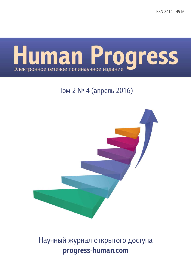**ISSN 2414 - 4916** 



## Том 2 № 4 (апрель 2016)



# Научный журнал открытого доступа progress-human.com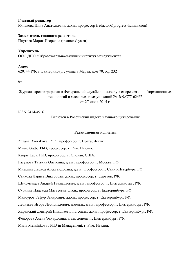#### **Главный релактор**

Кулькова Инна Анатольевна, д.э.н., профессор (redactor@progress-human.com)

#### Заместитель главного редактора

Плутова Мария Игоревна (instmen@ya.ru)

#### **Учредитель**

ООО ЛПО «Образовательно-научный институт менелжмента»

#### Адрес

620144 РФ, г. Екатеринбург, улица 8 Марта, дом 70, оф. 232

6+

Журнал зарегистрирован в Федеральной службе по надзору в сфере связи, информационных технологий и массовых коммуникаций Эл №ФС77-62455 от 27 июля 2015 г.

ISSN 2414-4916

Включен в Российский индекс научного цитирования

#### Редакционная коллегия

Zuzana Dvorakova, PhD, профессор, г. Прага, Чехия. Mauro Gatti, PhD, профессор, г. Рим, Италия. Kurpis Lada, PhD, профессор, г. Спокан, США. Разумова Татьяна Олеговна, д.э.н., профессор, г. Москва, РФ. Миэринь Лариса Александровна, д.э.н., профессор, г. Санкт-Петербург, РФ. Санкова Лариса Викторовн, д.э.н., профессор, г. Саратов, РФ. Шеломенцев Андрей Геннадьевич, д.э.н., профессор, г. Екатеринбург, РФ. Сурнина Надежда Матвеевна, д.э.н., профессор, г. Екатеринбург, РФ. Мансуров Гафур Закирович, д.ю.н., профессор, г. Екатеринбург, РФ. Леонтьев Игорь Леопольдович, д.мед.н., д.э.н., профессор, г. Екатеринбург, РФ. Ядранский Дмитрий Николаевич, д.соц.н., д.э.н., профессор, г. Екатеринбург, РФ. Федорова Алена Эдуардовна, к.э.н, доцент, г. Екатеринбург, РФ. Maria Menshikova, PhD in Management, г. Рим, Италия.